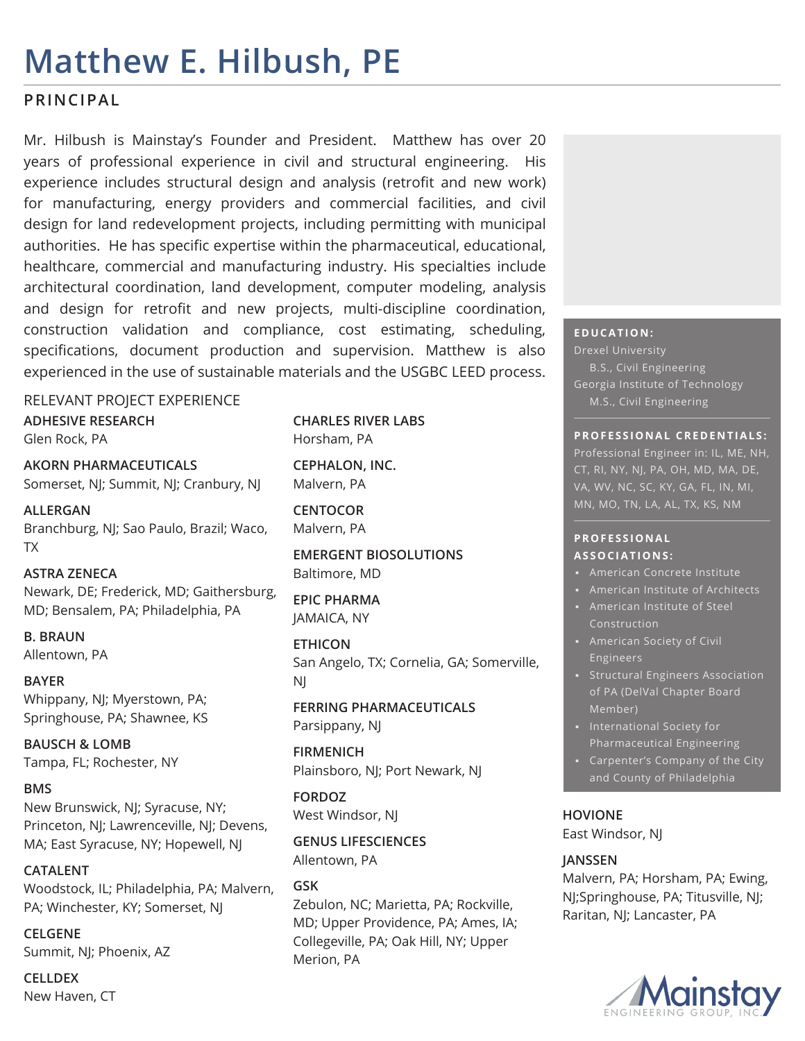# **Matthew E. Hilbush, PE**

## **PRINCIPAL**

Mr. Hilbush is Mainstay's Founder and President. Matthew has over 20 years of professional experience in civil and structural engineering. His experience includes structural design and analysis (retrofit and new work) for manufacturing, energy providers and commercial facilities, and civil design for land redevelopment projects, including permitting with municipal authorities. He has specific expertise within the pharmaceutical, educational, healthcare, commercial and manufacturing industry. His specialties include architectural coordination, land development, computer modeling, analysis and design for retrofit and new projects, multi-discipline coordination, construction validation and compliance, cost estimating, scheduling, specifications, document production and supervision. Matthew is also experienced in the use of sustainable materials and the USGBC LEED process.

## RELEVANT PROJECT EXPERIENCE **ADHESIVE RESEARCH**

Glen Rock, PA

**AKORN PHARMACEUTICALS** Somerset, NJ; Summit, NJ; Cranbury, NJ

**ALLERGAN** Branchburg, NJ; Sao Paulo, Brazil; Waco, TX

**ASTRA ZENECA** Newark, DE; Frederick, MD; Gaithersburg, MD; Bensalem, PA; Philadelphia, PA

**B. BRAUN** Allentown, PA

**BAYER** Whippany, NJ; Myerstown, PA; Springhouse, PA; Shawnee, KS

**BAUSCH & LOMB** Tampa, FL; Rochester, NY

### **BMS**

New Brunswick, NJ; Syracuse, NY; Princeton, NJ; Lawrenceville, NJ; Devens, MA; East Syracuse, NY; Hopewell, NJ

**CATALENT** Woodstock, IL; Philadelphia, PA; Malvern, PA; Winchester, KY; Somerset, NJ

**CELGENE** Summit, NJ; Phoenix, AZ

**CELLDEX** New Haven, CT **CHARLES RIVER LABS** Horsham, PA

**CEPHALON, INC.** Malvern, PA

**CENTOCOR** Malvern, PA

**EMERGENT BIOSOLUTIONS** Baltimore, MD

**EPIC PHARMA** JAMAICA, NY

**ETHICON** San Angelo, TX; Cornelia, GA; Somerville, NJ

**FERRING PHARMACEUTICALS** Parsippany, NJ

**FIRMENICH** Plainsboro, NJ; Port Newark, NJ

**FORDOZ** West Windsor, NJ

**GENUS LIFESCIENCES** Allentown, PA

## **GSK**

Zebulon, NC; Marietta, PA; Rockville, MD; Upper Providence, PA; Ames, IA; Collegeville, PA; Oak Hill, NY; Upper Merion, PA

### **EDUCATION:**

Drexel University B.S., Civil Engineering Georgia Institute of Technology M.S., Civil Engineering

#### **PROFESSIONAL CREDENTIALS:**

Professional Engineer in: IL, ME, NH, CT, RI, NY, NJ, PA, OH, MD, MA, DE, MN, MO, TN, LA, AL, TX, KS, NM

#### **P R O F E S S I O N A L ASSOCIATIONS:**

- American Concrete Institute
- American Institute of Architects
- Construction
- Engineers
- **•** Structural Engineers Association of PA (DelVal Chapter Board Member)
- International Society for Pharmaceutical Engineering
- Carpenter's Company of the City

## **HOVIONE**

East Windsor, NJ

## **JANSSEN**

Malvern, PA; Horsham, PA; Ewing, NJ;Springhouse, PA; Titusville, NJ; Raritan, NJ; Lancaster, PA